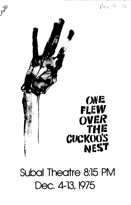

# **ONE FILEW SIER<br>ELLT<br>ECUCKOO'S NEST**

# Subal Theatre 8:15 PM Dec. 4-13, 1975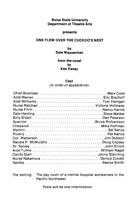# **Boise State University Department of Theatre Arts**

#### **presents**

# **ONE FLEW OVER THE CUCKOO'S NEST**

# **by Dale Wasserman**

# **from the novel by Ken Kesey**

#### **Cast**

(in order of appearance)

| Chief Bromden Marv Cook       |  |
|-------------------------------|--|
|                               |  |
|                               |  |
|                               |  |
|                               |  |
| Nurse Flinn Nancy Harms       |  |
|                               |  |
|                               |  |
|                               |  |
|                               |  |
|                               |  |
|                               |  |
|                               |  |
| Randle P. McMurphyDoug Copsey |  |
|                               |  |
| Aide Turkle William Nagel     |  |
|                               |  |
| Nurse Nakamura Denice Zundel  |  |
|                               |  |

The setting: The day room of a mental hospital somewhere in the Pacific Northwest.

There will be one intermission.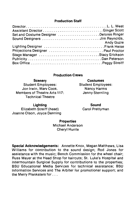# **Production Staff**

| Set and Costume Designer Delores Ringer |                   |
|-----------------------------------------|-------------------|
|                                         |                   |
|                                         | <b>Andy Guzie</b> |
|                                         |                   |
| Projections Designer  Paul Proctor      |                   |
|                                         |                   |
|                                         |                   |
|                                         |                   |

# **Production Crews**

| <b>Scenery</b>                                           | <b>Costumes</b>           |
|----------------------------------------------------------|---------------------------|
| <b>Student Employees:</b>                                | <b>Student Employees:</b> |
| Jon Irwin, Marv Cook.                                    | Nancy Harms               |
| Members of Theatre Arts 117:<br><b>Technical Theatre</b> | Jenny Sternling           |

**Lighting**  Elizabeth Streiff (head) Joanne Olson, Joyce Denning

**Sound**  Carol Prettyman

# **Properties**

Michael Anderson Cheryl Hurrle

**Special Acknowledgements:** Annette Knox, Megan Matthews, Lisa Williams for contribution to the sound design; Rod Jones for assistance with the music; Bench Commission for the wheel chair; Russ Meyer at the Head Shop for haircuts; St. Luke's Hospital and Intermountain Surgical Supply for contributions to the properties; BSU Educational Media Services for technical assistance; BSU Information Services and The Arbiter for promotional support; and the Merry Pranksters for ...